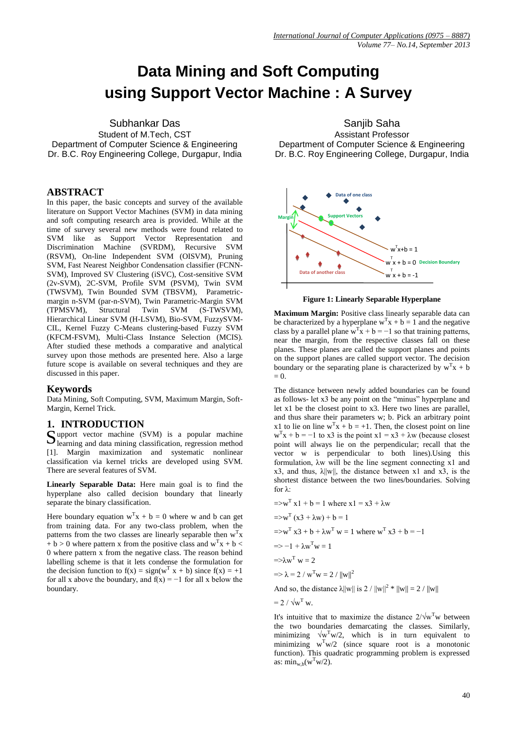# **Data Mining and Soft Computing using Support Vector Machine : A Survey**

Subhankar Das

Student of M.Tech, CST Department of Computer Science & Engineering Dr. B.C. Roy Engineering College, Durgapur, India

#### **ABSTRACT**

In this paper, the basic concepts and survey of the available literature on Support Vector Machines (SVM) in data mining and soft computing research area is provided. While at the time of survey several new methods were found related to SVM like as Support Vector Representation and Discrimination Machine (SVRDM), Recursive SVM (RSVM), On-line Independent SVM (OISVM), Pruning SVM, Fast Nearest Neighbor Condensation classifier (FCNN-SVM), Improved SV Clustering (iSVC), Cost-sensitive SVM (2v-SVM), 2C-SVM, Profile SVM (PSVM), Twin SVM (TWSVM), Twin Bounded SVM (TBSVM), Parametricmargin n-SVM (par-n-SVM), Twin Parametric-Margin SVM (TPMSVM), Structural Twin SVM (S-TWSVM), Hierarchical Linear SVM (H-LSVM), Bio-SVM, FuzzySVM-CIL, Kernel Fuzzy C-Means clustering-based Fuzzy SVM (KFCM-FSVM), Multi-Class Instance Selection (MCIS). After studied these methods a comparative and analytical survey upon those methods are presented here. Also a large future scope is available on several techniques and they are discussed in this paper.

#### **Keywords**

Data Mining, Soft Computing, SVM, Maximum Margin, Soft-Margin, Kernel Trick.

### **1. INTRODUCTION**

upport vector machine (SVM) is a popular machine Support vector machine (SVM) is a popular machine<br>
learning and data mining classification, regression method [1]. Margin maximization and systematic nonlinear classification via kernel tricks are developed using SVM. There are several features of SVM.

**Linearly Separable Data:** Here main goal is to find the hyperplane also called decision boundary that linearly separate the binary classification.

Here boundary equation  $w^T x + b = 0$  where w and b can get from training data. For any two-class problem, when the patterns from the two classes are linearly separable then  $w<sup>T</sup>x$  $+ b > 0$  where pattern x from the positive class and w<sup>T</sup>x + b < 0 where pattern x from the negative class. The reason behind labelling scheme is that it lets condense the formulation for the decision function to  $f(x) = sign(w^T x + b)$  since  $f(x) = +1$ for all x above the boundary, and  $f(x) = -1$  for all x below the boundary.

Sanjib Saha Assistant Professor Department of Computer Science & Engineering Dr. B.C. Roy Engineering College, Durgapur, India



#### **Figure 1: Linearly Separable Hyperplane**

**Maximum Margin:** Positive class linearly separable data can be characterized by a hyperplane  $w^Tx + b = 1$  and the negative class by a parallel plane  $w^T x + b = -1$  so that training patterns, near the margin, from the respective classes fall on these planes. These planes are called the support planes and points on the support planes are called support vector. The decision boundary or the separating plane is characterized by  $w<sup>T</sup>x + b$  $= 0$ 

The distance between newly added boundaries can be found as follows- let x3 be any point on the "minus" hyperplane and let x1 be the closest point to x3. Here two lines are parallel, and thus share their parameters w; b. Pick an arbitrary point x1 to lie on line  $w^T x + b = +1$ . Then, the closest point on line  $w<sup>T</sup>x + b = -1$  to x3 is the point x1 = x3 +  $\lambda w$  (because closest point will always lie on the perpendicular; recall that the vector w is perpendicular to both lines).Using this formulation, λw will be the line segment connecting x1 and x3, and thus,  $\lambda ||w||$ , the distance between x1 and x3, is the shortest distance between the two lines/boundaries. Solving for λ:

$$
=>w^{T} x 1 + b = 1 \text{ where } x1 = x3 + \lambda w
$$
  
\n
$$
= sw^{T} (x3 + \lambda w) + b = 1
$$
  
\n
$$
= sw^{T} x3 + b + \lambda w^{T} w = 1 \text{ where } w^{T} x3 + b = -1
$$
  
\n
$$
= > -1 + \lambda w^{T} w = 1
$$
  
\n
$$
= >\lambda w^{T} w = 2
$$
  
\n
$$
= > \lambda = 2 / w^{T} w = 2 / ||w||^{2}
$$
  
\nAnd so, the distance  $\lambda ||w||$  is  $2 / ||w||^{2} * ||w|| = 2 / ||w||$   
\n
$$
= 2 / \sqrt{w^{T}} w.
$$

It's intuitive that to maximize the distance  $2/\sqrt{w}$ <sup>T</sup>w between the two boundaries demarcating the classes. Similarly, minimizing  $\sqrt{w^T w/2}$ , which is in turn equivalent to minimizing  $w^Tw/2$  (since square root is a monotonic function). This quadratic programming problem is expressed as:  $\min_{w,b}(w^Tw/2)$ .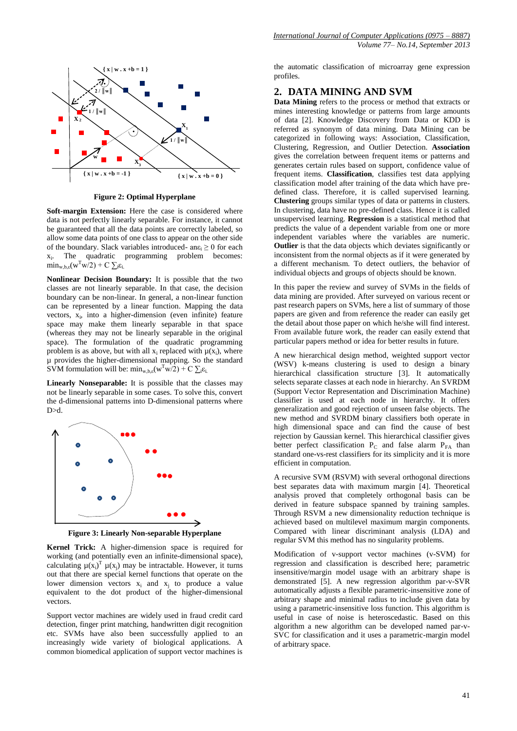

**Figure 2: Optimal Hyperplane**

**Soft-margin Extension:** Here the case is considered where data is not perfectly linearly separable. For instance, it cannot be guaranteed that all the data points are correctly labeled, so allow some data points of one class to appear on the other side of the boundary. Slack variables introduced- an $\varepsilon_i \geq 0$  for each  $X_{1}$ . The quadratic programming problem becomes:  $\min_{w, b, \varepsilon} (w^Tw/2) + C \sum_i \varepsilon_i$ 

**Nonlinear Decision Boundary:** It is possible that the two classes are not linearly separable. In that case, the decision boundary can be non-linear. In general, a non-linear function can be represented by a linear function. Mapping the data vectors,  $x_i$ , into a higher-dimension (even infinite) feature space may make them linearly separable in that space (whereas they may not be linearly separable in the original space). The formulation of the quadratic programming problem is as above, but with all  $x_i$  replaced with  $\mu(x_i)$ , where µ provides the higher-dimensional mapping. So the standard SVM formulation will be:  $\min_{w, b, \varepsilon} (w^Tw/2) + C \sum_i \varepsilon_i$ .

**Linearly Nonseparable:** It is possible that the classes may not be linearly separable in some cases. To solve this, convert the d-dimensional patterns into D-dimensional patterns where D>d.



**Figure 3: Linearly Non-separable Hyperplane**

**Kernel Trick:** A higher-dimension space is required for working (and potentially even an infinite-dimensional space), calculating  $\mu(x_i)^T \mu(x_j)$  may be intractable. However, it turns out that there are special kernel functions that operate on the lower dimension vectors  $x_i$  and  $x_j$  to produce a value equivalent to the dot product of the higher-dimensional vectors.

Support vector machines are widely used in fraud credit card detection, finger print matching, handwritten digit recognition etc. SVMs have also been successfully applied to an increasingly wide variety of biological applications. A common biomedical application of support vector machines is

the automatic classification of microarray gene expression profiles.

### **2. DATA MINING AND SVM**

**Data Mining** refers to the process or method that extracts or mines interesting knowledge or patterns from large amounts of data [2]. Knowledge Discovery from Data or KDD is referred as synonym of data mining. Data Mining can be categorized in following ways: Association, Classification, Clustering, Regression, and Outlier Detection. **Association** gives the correlation between frequent items or patterns and generates certain rules based on support, confidence value of frequent items. **Classification**, classifies test data applying classification model after training of the data which have predefined class. Therefore, it is called supervised learning. **Clustering** groups similar types of data or patterns in clusters. In clustering, data have no pre-defined class. Hence it is called unsupervised learning. **Regression** is a statistical method that predicts the value of a dependent variable from one or more independent variables where the variables are numeric. **Outlier** is that the data objects which deviates significantly or inconsistent from the normal objects as if it were generated by a different mechanism. To detect outliers, the behavior of individual objects and groups of objects should be known.

In this paper the review and survey of SVMs in the fields of data mining are provided. After surveyed on various recent or past research papers on SVMs, here a list of summary of those papers are given and from reference the reader can easily get the detail about those paper on which he/she will find interest. From available future work, the reader can easily extend that particular papers method or idea for better results in future.

A new hierarchical design method, weighted support vector (WSV) k-means clustering is used to design a binary hierarchical classification structure [3]. It automatically selects separate classes at each node in hierarchy. An SVRDM (Support Vector Representation and Discrimination Machine) classifier is used at each node in hierarchy. It offers generalization and good rejection of unseen false objects. The new method and SVRDM binary classifiers both operate in high dimensional space and can find the cause of best rejection by Gaussian kernel. This hierarchical classifier gives better perfect classification  $P_C$  and false alarm  $P_{FA}$  than standard one-vs-rest classifiers for its simplicity and it is more efficient in computation.

A recursive SVM (RSVM) with several orthogonal directions best separates data with maximum margin [4]. Theoretical analysis proved that completely orthogonal basis can be derived in feature subspace spanned by training samples. Through RSVM a new dimensionality reduction technique is achieved based on multilevel maximum margin components. Compared with linear discriminant analysis (LDA) and regular SVM this method has no singularity problems.

Modification of v-support vector machines (v-SVM) for regression and classification is described here; parametric insensitive/margin model usage with an arbitrary shape is demonstrated [5]. A new regression algorithm par-v-SVR automatically adjusts a flexible parametric-insensitive zone of arbitrary shape and minimal radius to include given data by using a parametric-insensitive loss function. This algorithm is useful in case of noise is heteroscedastic. Based on this algorithm a new algorithm can be developed named par-v-SVC for classification and it uses a parametric-margin model of arbitrary space.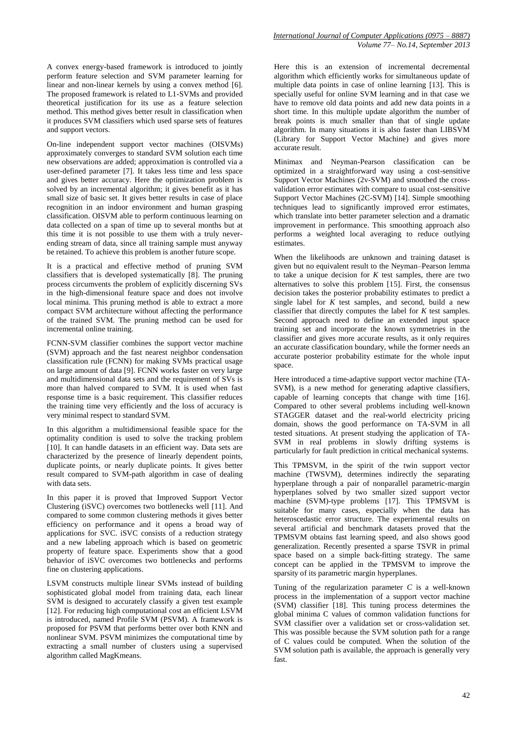A convex energy-based framework is introduced to jointly perform feature selection and SVM parameter learning for linear and non-linear kernels by using a convex method [6]. The proposed framework is related to L1-SVMs and provided theoretical justification for its use as a feature selection method. This method gives better result in classification when it produces SVM classifiers which used sparse sets of features and support vectors.

On-line independent support vector machines (OISVMs) approximately converges to standard SVM solution each time new observations are added; approximation is controlled via a user-defined parameter [7]. It takes less time and less space and gives better accuracy. Here the optimization problem is solved by an incremental algorithm; it gives benefit as it has small size of basic set. It gives better results in case of place recognition in an indoor environment and human grasping classification. OISVM able to perform continuous learning on data collected on a span of time up to several months but at this time it is not possible to use them with a truly neverending stream of data, since all training sample must anyway be retained. To achieve this problem is another future scope.

It is a practical and effective method of pruning SVM classifiers that is developed systematically [8]. The pruning process circumvents the problem of explicitly discerning SVs in the high-dimensional feature space and does not involve local minima. This pruning method is able to extract a more compact SVM architecture without affecting the performance of the trained SVM. The pruning method can be used for incremental online training.

FCNN-SVM classifier combines the support vector machine (SVM) approach and the fast nearest neighbor condensation classification rule (FCNN) for making SVMs practical usage on large amount of data [9]. FCNN works faster on very large and multidimensional data sets and the requirement of SVs is more than halved compared to SVM. It is used when fast response time is a basic requirement. This classifier reduces the training time very efficiently and the loss of accuracy is very minimal respect to standard SVM.

In this algorithm a multidimensional feasible space for the optimality condition is used to solve the tracking problem [10]. It can handle datasets in an efficient way. Data sets are characterized by the presence of linearly dependent points, duplicate points, or nearly duplicate points. It gives better result compared to SVM-path algorithm in case of dealing with data sets.

In this paper it is proved that Improved Support Vector Clustering (iSVC) overcomes two bottlenecks well [11]. And compared to some common clustering methods it gives better efficiency on performance and it opens a broad way of applications for SVC. iSVC consists of a reduction strategy and a new labeling approach which is based on geometric property of feature space. Experiments show that a good behavior of iSVC overcomes two bottlenecks and performs fine on clustering applications.

LSVM constructs multiple linear SVMs instead of building sophisticated global model from training data, each linear SVM is designed to accurately classify a given test example [12]. For reducing high computational cost an efficient LSVM is introduced, named Profile SVM (PSVM). A framework is proposed for PSVM that performs better over both KNN and nonlinear SVM. PSVM minimizes the computational time by extracting a small number of clusters using a supervised algorithm called MagKmeans.

Here this is an extension of incremental decremental algorithm which efficiently works for simultaneous update of multiple data points in case of online learning [13]. This is specially useful for online SVM learning and in that case we have to remove old data points and add new data points in a short time. In this multiple update algorithm the number of break points is much smaller than that of single update algorithm. In many situations it is also faster than LIBSVM (Library for Support Vector Machine) and gives more accurate result.

Minimax and Neyman-Pearson classification can be optimized in a straightforward way using a cost-sensitive Support Vector Machines (2v-SVM) and smoothed the crossvalidation error estimates with compare to usual cost-sensitive Support Vector Machines (2C-SVM) [14]. Simple smoothing techniques lead to significantly improved error estimates, which translate into better parameter selection and a dramatic improvement in performance. This smoothing approach also performs a weighted local averaging to reduce outlying estimates.

When the likelihoods are unknown and training dataset is given but no equivalent result to the Neyman–Pearson lemma to take a unique decision for *K* test samples, there are two alternatives to solve this problem [15]. First, the consensus decision takes the posterior probability estimates to predict a single label for  $\overline{K}$  test samples, and second, build a new classifier that directly computes the label for *K* test samples. Second approach need to define an extended input space training set and incorporate the known symmetries in the classifier and gives more accurate results, as it only requires an accurate classification boundary, while the former needs an accurate posterior probability estimate for the whole input space.

Here introduced a time-adaptive support vector machine (TA-SVM), is a new method for generating adaptive classifiers, capable of learning concepts that change with time [16]. Compared to other several problems including well-known STAGGER dataset and the real-world electricity pricing domain, shows the good performance on TA-SVM in all tested situations. At present studying the application of TA-SVM in real problems in slowly drifting systems is particularly for fault prediction in critical mechanical systems.

This TPMSVM, in the spirit of the twin support vector machine (TWSVM), determines indirectly the separating hyperplane through a pair of nonparallel parametric-margin hyperplanes solved by two smaller sized support vector machine (SVM)-type problems [17]. This TPMSVM is suitable for many cases, especially when the data has heteroscedastic error structure. The experimental results on several artificial and benchmark datasets proved that the TPMSVM obtains fast learning speed, and also shows good generalization. Recently presented a sparse TSVR in primal space based on a simple back-fitting strategy. The same concept can be applied in the TPMSVM to improve the sparsity of its parametric margin hyperplanes.

Tuning of the regularization parameter *C* is a well-known process in the implementation of a support vector machine (SVM) classifier [18]. This tuning process determines the global minima C values of common validation functions for SVM classifier over a validation set or cross-validation set. This was possible because the SVM solution path for a range of C values could be computed. When the solution of the SVM solution path is available, the approach is generally very fast.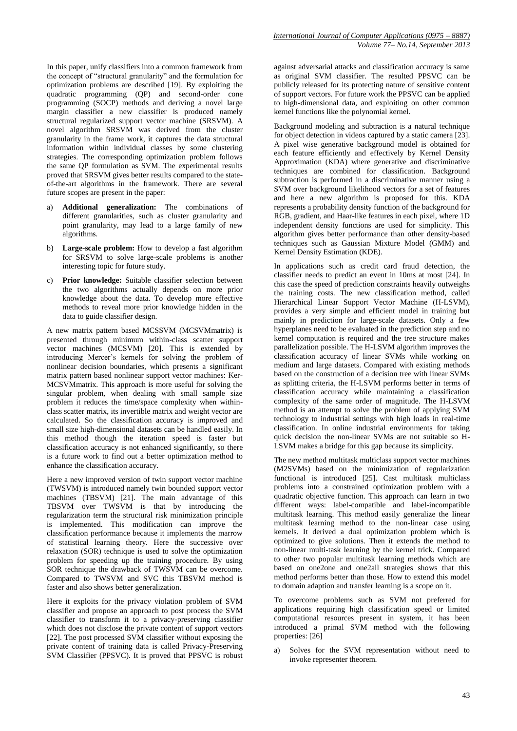In this paper, unify classifiers into a common framework from the concept of "structural granularity" and the formulation for optimization problems are described [19]. By exploiting the quadratic programming (QP) and second-order cone programming (SOCP) methods and deriving a novel large margin classifier a new classifier is produced namely structural regularized support vector machine (SRSVM). A novel algorithm SRSVM was derived from the cluster granularity in the frame work, it captures the data structural information within individual classes by some clustering strategies. The corresponding optimization problem follows the same QP formulation as SVM. The experimental results proved that SRSVM gives better results compared to the stateof-the-art algorithms in the framework. There are several future scopes are present in the paper:

- a) **Additional generalization:** The combinations of different granularities, such as cluster granularity and point granularity, may lead to a large family of new algorithms.
- b) **Large-scale problem:** How to develop a fast algorithm for SRSVM to solve large-scale problems is another interesting topic for future study.
- c) **Prior knowledge:** Suitable classifier selection between the two algorithms actually depends on more prior knowledge about the data. To develop more effective methods to reveal more prior knowledge hidden in the data to guide classifier design.

A new matrix pattern based MCSSVM (MCSVMmatrix) is presented through minimum within-class scatter support vector machines (MCSVM) [20]. This is extended by introducing Mercer's kernels for solving the problem of nonlinear decision boundaries, which presents a significant matrix pattern based nonlinear support vector machines: Ker-MCSVMmatrix. This approach is more useful for solving the singular problem, when dealing with small sample size problem it reduces the time/space complexity when withinclass scatter matrix, its invertible matrix and weight vector are calculated. So the classification accuracy is improved and small size high-dimensional datasets can be handled easily. In this method though the iteration speed is faster but classification accuracy is not enhanced significantly, so there is a future work to find out a better optimization method to enhance the classification accuracy.

Here a new improved version of twin support vector machine (TWSVM) is introduced namely twin bounded support vector machines (TBSVM) [21]. The main advantage of this TBSVM over TWSVM is that by introducing the regularization term the structural risk minimization principle is implemented. This modification can improve the classification performance because it implements the marrow of statistical learning theory. Here the successive over relaxation (SOR) technique is used to solve the optimization problem for speeding up the training procedure. By using SOR technique the drawback of TWSVM can be overcome. Compared to TWSVM and SVC this TBSVM method is faster and also shows better generalization.

Here it exploits for the privacy violation problem of SVM classifier and propose an approach to post process the SVM classifier to transform it to a privacy-preserving classifier which does not disclose the private content of support vectors [22]. The post processed SVM classifier without exposing the private content of training data is called Privacy-Preserving SVM Classifier (PPSVC). It is proved that PPSVC is robust against adversarial attacks and classification accuracy is same as original SVM classifier. The resulted PPSVC can be publicly released for its protecting nature of sensitive content of support vectors. For future work the PPSVC can be applied to high-dimensional data, and exploiting on other common kernel functions like the polynomial kernel.

Background modeling and subtraction is a natural technique for object detection in videos captured by a static camera [23]. A pixel wise generative background model is obtained for each feature efficiently and effectively by Kernel Density Approximation (KDA) where generative and discriminative techniques are combined for classification. Background subtraction is performed in a discriminative manner using a SVM over background likelihood vectors for a set of features and here a new algorithm is proposed for this. KDA represents a probability density function of the background for RGB, gradient, and Haar-like features in each pixel, where 1D independent density functions are used for simplicity. This algorithm gives better performance than other density-based techniques such as Gaussian Mixture Model (GMM) and Kernel Density Estimation (KDE).

In applications such as credit card fraud detection, the classifier needs to predict an event in 10ms at most [24]. In this case the speed of prediction constraints heavily outweighs the training costs. The new classification method, called Hierarchical Linear Support Vector Machine (H-LSVM), provides a very simple and efficient model in training but mainly in prediction for large-scale datasets. Only a few hyperplanes need to be evaluated in the prediction step and no kernel computation is required and the tree structure makes parallelization possible. The H-LSVM algorithm improves the classification accuracy of linear SVMs while working on medium and large datasets. Compared with existing methods based on the construction of a decision tree with linear SVMs as splitting criteria, the H-LSVM performs better in terms of classification accuracy while maintaining a classification complexity of the same order of magnitude. The H-LSVM method is an attempt to solve the problem of applying SVM technology to industrial settings with high loads in real-time classification. In online industrial environments for taking quick decision the non-linear SVMs are not suitable so H-LSVM makes a bridge for this gap because its simplicity.

The new method multitask multiclass support vector machines (M2SVMs) based on the minimization of regularization functional is introduced [25]. Cast multitask multiclass problems into a constrained optimization problem with a quadratic objective function. This approach can learn in two different ways: label-compatible and label-incompatible multitask learning. This method easily generalize the linear multitask learning method to the non-linear case using kernels. It derived a dual optimization problem which is optimized to give solutions. Then it extends the method to non-linear multi-task learning by the kernel trick. Compared to other two popular multitask learning methods which are based on one2one and one2all strategies shows that this method performs better than those. How to extend this model to domain adaption and transfer learning is a scope on it.

To overcome problems such as SVM not preferred for applications requiring high classification speed or limited computational resources present in system, it has been introduced a primal SVM method with the following properties: [26]

a) Solves for the SVM representation without need to invoke representer theorem.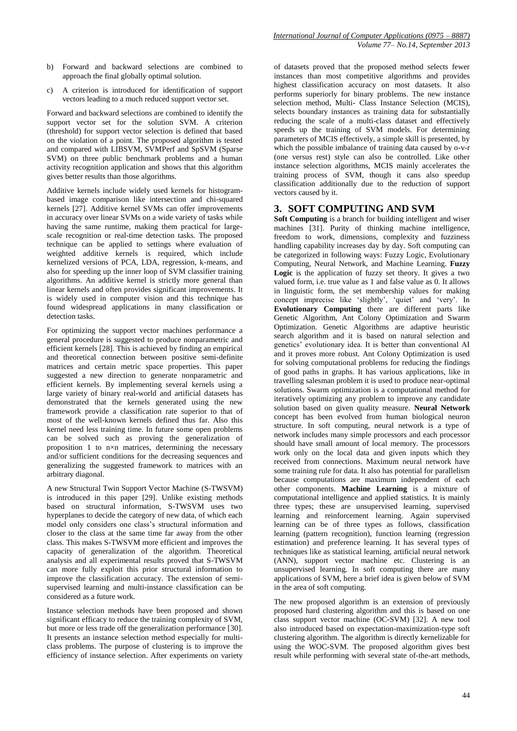- b) Forward and backward selections are combined to approach the final globally optimal solution.
- c) A criterion is introduced for identification of support vectors leading to a much reduced support vector set.

Forward and backward selections are combined to identify the support vector set for the solution SVM. A criterion (threshold) for support vector selection is defined that based on the violation of a point. The proposed algorithm is tested and compared with LIBSVM, SVMPerf and SpSVM (Sparse SVM) on three public benchmark problems and a human activity recognition application and shows that this algorithm gives better results than those algorithms.

Additive kernels include widely used kernels for histogrambased image comparison like intersection and chi-squared kernels [27]. Additive kernel SVMs can offer improvements in accuracy over linear SVMs on a wide variety of tasks while having the same runtime, making them practical for largescale recognition or real-time detection tasks. The proposed technique can be applied to settings where evaluation of weighted additive kernels is required, which include kernelized versions of PCA, LDA, regression, k-means, and also for speeding up the inner loop of SVM classifier training algorithms. An additive kernel is strictly more general than linear kernels and often provides significant improvements. It is widely used in computer vision and this technique has found widespread applications in many classification or detection tasks.

For optimizing the support vector machines performance a general procedure is suggested to produce nonparametric and efficient kernels [28]. This is achieved by finding an empirical and theoretical connection between positive semi-definite matrices and certain metric space properties. This paper suggested a new direction to generate nonparametric and efficient kernels. By implementing several kernels using a large variety of binary real-world and artificial datasets has demonstrated that the kernels generated using the new framework provide a classification rate superior to that of most of the well-known kernels defined thus far. Also this kernel need less training time. In future some open problems can be solved such as proving the generalization of proposition 1 to n×n matrices, determining the necessary and/or sufficient conditions for the decreasing sequences and generalizing the suggested framework to matrices with an arbitrary diagonal.

A new Structural Twin Support Vector Machine (S-TWSVM) is introduced in this paper [29]. Unlike existing methods based on structural information, S-TWSVM uses two hyperplanes to decide the category of new data, of which each model only considers one class's structural information and closer to the class at the same time far away from the other class. This makes S-TWSVM more efficient and improves the capacity of generalization of the algorithm. Theoretical analysis and all experimental results proved that S-TWSVM can more fully exploit this prior structural information to improve the classification accuracy. The extension of semisupervised learning and multi-instance classification can be considered as a future work.

Instance selection methods have been proposed and shown significant efficacy to reduce the training complexity of SVM, but more or less trade off the generalization performance [30]. It presents an instance selection method especially for multiclass problems. The purpose of clustering is to improve the efficiency of instance selection. After experiments on variety

of datasets proved that the proposed method selects fewer instances than most competitive algorithms and provides highest classification accuracy on most datasets. It also performs superiorly for binary problems. The new instance selection method, Multi- Class Instance Selection (MCIS), selects boundary instances as training data for substantially reducing the scale of a multi-class dataset and effectively speeds up the training of SVM models. For determining parameters of MCIS effectively, a simple skill is presented, by which the possible imbalance of training data caused by o-v-r (one versus rest) style can also be controlled. Like other instance selection algorithms, MCIS mainly accelerates the training process of SVM, though it cans also speedup classification additionally due to the reduction of support vectors caused by it.

# **3. SOFT COMPUTING AND SVM**

**Soft Computing** is a branch for building intelligent and wiser machines [31]. Purity of thinking machine intelligence, freedom to work, dimensions, complexity and fuzziness handling capability increases day by day. Soft computing can be categorized in following ways: Fuzzy Logic, Evolutionary Computing, Neural Network, and Machine Learning. **Fuzzy Logic** is the application of fuzzy set theory. It gives a two valued form, i.e. true value as 1 and false value as 0. It allows in linguistic form, the set membership values for making concept imprecise like 'slightly', 'quiet' and 'very'. In **Evolutionary Computing** there are different parts like Genetic Algorithm, Ant Colony Optimization and Swarm Optimization. Genetic Algorithms are adaptive heuristic search algorithm and it is based on natural selection and genetics' evolutionary idea. It is better than conventional AI and it proves more robust. Ant Colony Optimization is used for solving computational problems for reducing the findings of good paths in graphs. It has various applications, like in travelling salesman problem it is used to produce near-optimal solutions. Swarm optimization is a computational method for iteratively optimizing any problem to improve any candidate solution based on given quality measure. **Neural Network**  concept has been evolved from human biological neuron structure. In soft computing, neural network is a type of network includes many simple processors and each processor should have small amount of local memory. The processors work only on the local data and given inputs which they received from connections. Maximum neural network have some training rule for data. It also has potential for parallelism because computations are maximum independent of each other components. **Machine Learning** is a mixture of computational intelligence and applied statistics. It is mainly three types; these are unsupervised learning, supervised learning and reinforcement learning. Again supervised learning can be of three types as follows, classification learning (pattern recognition), function learning (regression estimation) and preference learning. It has several types of techniques like as statistical learning, artificial neural network (ANN), support vector machine etc. Clustering is an unsupervised learning. In soft computing there are many applications of SVM, here a brief idea is given below of SVM in the area of soft computing.

The new proposed algorithm is an extension of previously proposed hard clustering algorithm and this is based on one class support vector machine (OC-SVM) [32]. A new tool also introduced based on expectation-maximization-type soft clustering algorithm. The algorithm is directly kernelizable for using the WOC-SVM. The proposed algorithm gives best result while performing with several state of-the-art methods,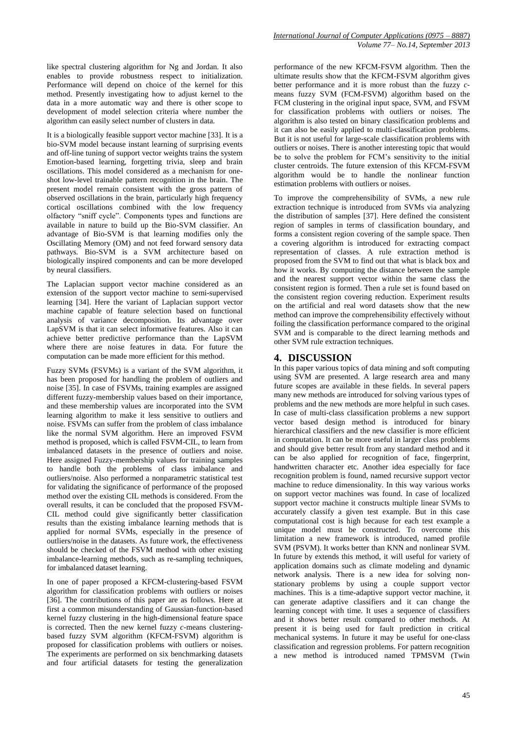like spectral clustering algorithm for Ng and Jordan. It also enables to provide robustness respect to initialization. Performance will depend on choice of the kernel for this method. Presently investigating how to adjust kernel to the data in a more automatic way and there is other scope to development of model selection criteria where number the algorithm can easily select number of clusters in data.

It is a biologically feasible support vector machine [33]. It is a bio-SVM model because instant learning of surprising events and off-line tuning of support vector weights trains the system Emotion-based learning, forgetting trivia, sleep and brain oscillations. This model considered as a mechanism for oneshot low-level trainable pattern recognition in the brain. The present model remain consistent with the gross pattern of observed oscillations in the brain, particularly high frequency cortical oscillations combined with the low frequency olfactory "sniff cycle". Components types and functions are available in nature to build up the Bio-SVM classifier. An advantage of Bio-SVM is that learning modifies only the Oscillating Memory (OM) and not feed forward sensory data pathways. Bio-SVM is a SVM architecture based on biologically inspired components and can be more developed by neural classifiers.

The Laplacian support vector machine considered as an extension of the support vector machine to semi-supervised learning [34]. Here the variant of Laplacian support vector machine capable of feature selection based on functional analysis of variance decomposition. Its advantage over LapSVM is that it can select informative features. Also it can achieve better predictive performance than the LapSVM where there are noise features in data. For future the computation can be made more efficient for this method.

Fuzzy SVMs (FSVMs) is a variant of the SVM algorithm, it has been proposed for handling the problem of outliers and noise [35]. In case of FSVMs, training examples are assigned different fuzzy-membership values based on their importance, and these membership values are incorporated into the SVM learning algorithm to make it less sensitive to outliers and noise. FSVMs can suffer from the problem of class imbalance like the normal SVM algorithm. Here an improved FSVM method is proposed, which is called FSVM-CIL, to learn from imbalanced datasets in the presence of outliers and noise. Here assigned Fuzzy-membership values for training samples to handle both the problems of class imbalance and outliers/noise. Also performed a nonparametric statistical test for validating the significance of performance of the proposed method over the existing CIL methods is considered. From the overall results, it can be concluded that the proposed FSVM-CIL method could give significantly better classification results than the existing imbalance learning methods that is applied for normal SVMs, especially in the presence of outliers/noise in the datasets. As future work, the effectiveness should be checked of the FSVM method with other existing imbalance-learning methods, such as re-sampling techniques, for imbalanced dataset learning.

In one of paper proposed a KFCM-clustering-based FSVM algorithm for classification problems with outliers or noises [36]. The contributions of this paper are as follows. Here at first a common misunderstanding of Gaussian-function-based kernel fuzzy clustering in the high-dimensional feature space is corrected. Then the new kernel fuzzy *c*-means clusteringbased fuzzy SVM algorithm (KFCM-FSVM) algorithm is proposed for classification problems with outliers or noises. The experiments are performed on six benchmarking datasets and four artificial datasets for testing the generalization

performance of the new KFCM-FSVM algorithm. Then the ultimate results show that the KFCM-FSVM algorithm gives better performance and it is more robust than the fuzzy *c*means fuzzy SVM (FCM-FSVM) algorithm based on the FCM clustering in the original input space, SVM, and FSVM for classification problems with outliers or noises. The algorithm is also tested on binary classification problems and it can also be easily applied to multi-classification problems. But it is not useful for large-scale classification problems with outliers or noises. There is another interesting topic that would be to solve the problem for FCM's sensitivity to the initial cluster centroids. The future extension of this KFCM-FSVM algorithm would be to handle the nonlinear function estimation problems with outliers or noises.

To improve the comprehensibility of SVMs, a new rule extraction technique is introduced from SVMs via analyzing the distribution of samples [37]. Here defined the consistent region of samples in terms of classification boundary, and forms a consistent region covering of the sample space. Then a covering algorithm is introduced for extracting compact representation of classes. A rule extraction method is proposed from the SVM to find out that what is black box and how it works. By computing the distance between the sample and the nearest support vector within the same class the consistent region is formed. Then a rule set is found based on the consistent region covering reduction. Experiment results on the artificial and real word datasets show that the new method can improve the comprehensibility effectively without foiling the classification performance compared to the original SVM and is comparable to the direct learning methods and other SVM rule extraction techniques.

# **4. DISCUSSION**

In this paper various topics of data mining and soft computing using SVM are presented. A large research area and many future scopes are available in these fields. In several papers many new methods are introduced for solving various types of problems and the new methods are more helpful in such cases. In case of multi-class classification problems a new support vector based design method is introduced for binary hierarchical classifiers and the new classifier is more efficient in computation. It can be more useful in larger class problems and should give better result from any standard method and it can be also applied for recognition of face, fingerprint, handwritten character etc. Another idea especially for face recognition problem is found, named recursive support vector machine to reduce dimensionality. In this way various works on support vector machines was found. In case of localized support vector machine it constructs multiple linear SVMs to accurately classify a given test example. But in this case computational cost is high because for each test example a unique model must be constructed. To overcome this limitation a new framework is introduced, named profile SVM (PSVM). It works better than KNN and nonlinear SVM. In future by extends this method, it will useful for variety of application domains such as climate modeling and dynamic network analysis. There is a new idea for solving nonstationary problems by using a couple support vector machines. This is a time-adaptive support vector machine, it can generate adaptive classifiers and it can change the learning concept with time. It uses a sequence of classifiers and it shows better result compared to other methods. At present it is being used for fault prediction in critical mechanical systems. In future it may be useful for one-class classification and regression problems. For pattern recognition a new method is introduced named TPMSVM (Twin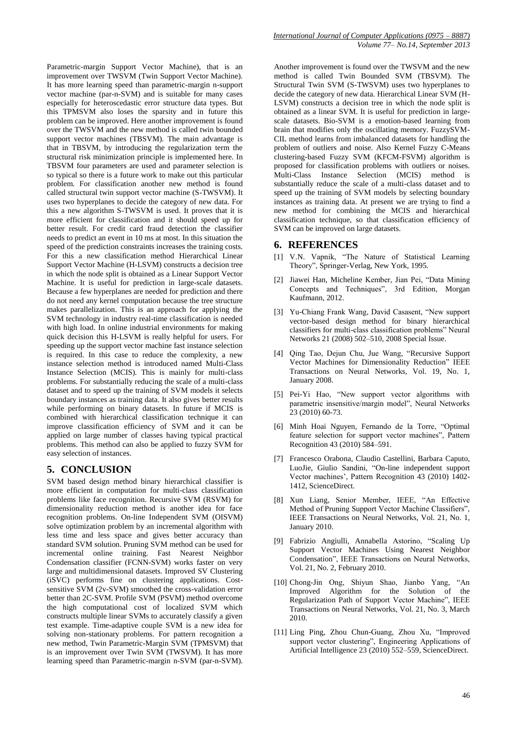Parametric-margin Support Vector Machine), that is an improvement over TWSVM (Twin Support Vector Machine). It has more learning speed than parametric-margin n-support vector machine (par-n-SVM) and is suitable for many cases especially for heteroscedastic error structure data types. But this TPMSVM also loses the sparsity and in future this problem can be improved. Here another improvement is found over the TWSVM and the new method is called twin bounded support vector machines (TBSVM). The main advantage is that in TBSVM, by introducing the regularization term the structural risk minimization principle is implemented here. In TBSVM four parameters are used and parameter selection is so typical so there is a future work to make out this particular problem. For classification another new method is found called structural twin support vector machine (S-TWSVM). It uses two hyperplanes to decide the category of new data. For this a new algorithm S-TWSVM is used. It proves that it is more efficient for classification and it should speed up for better result. For credit card fraud detection the classifier needs to predict an event in 10 ms at most. In this situation the speed of the prediction constraints increases the training costs. For this a new classification method Hierarchical Linear Support Vector Machine (H-LSVM) constructs a decision tree in which the node split is obtained as a Linear Support Vector Machine. It is useful for prediction in large-scale datasets. Because a few hyperplanes are needed for prediction and there do not need any kernel computation because the tree structure makes parallelization. This is an approach for applying the SVM technology in industry real-time classification is needed with high load. In online industrial environments for making quick decision this H-LSVM is really helpful for users. For speeding up the support vector machine fast instance selection is required. In this case to reduce the complexity, a new instance selection method is introduced named Multi-Class Instance Selection (MCIS). This is mainly for multi-class problems. For substantially reducing the scale of a multi-class dataset and to speed up the training of SVM models it selects boundary instances as training data. It also gives better results while performing on binary datasets. In future if MCIS is combined with hierarchical classification technique it can improve classification efficiency of SVM and it can be applied on large number of classes having typical practical problems. This method can also be applied to fuzzy SVM for easy selection of instances.

# **5. CONCLUSION**

SVM based design method binary hierarchical classifier is more efficient in computation for multi-class classification problems like face recognition. Recursive SVM (RSVM) for dimensionality reduction method is another idea for face recognition problems. On-line Independent SVM (OISVM) solve optimization problem by an incremental algorithm with less time and less space and gives better accuracy than standard SVM solution. Pruning SVM method can be used for incremental online training. Fast Nearest Neighbor Condensation classifier (FCNN-SVM) works faster on very large and multidimensional datasets. Improved SV Clustering (iSVC) performs fine on clustering applications. Costsensitive SVM (2v-SVM) smoothed the cross-validation error better than 2C-SVM. Profile SVM (PSVM) method overcome the high computational cost of localized SVM which constructs multiple linear SVMs to accurately classify a given test example. Time-adaptive couple SVM is a new idea for solving non-stationary problems. For pattern recognition a new method, Twin Parametric-Margin SVM (TPMSVM) that is an improvement over Twin SVM (TWSVM). It has more learning speed than Parametric-margin n-SVM (par-n-SVM).

Another improvement is found over the TWSVM and the new method is called Twin Bounded SVM (TBSVM). The Structural Twin SVM (S-TWSVM) uses two hyperplanes to decide the category of new data. Hierarchical Linear SVM (H-LSVM) constructs a decision tree in which the node split is obtained as a linear SVM. It is useful for prediction in largescale datasets. Bio-SVM is a emotion-based learning from brain that modifies only the oscillating memory. FuzzySVM-CIL method learns from imbalanced datasets for handling the problem of outliers and noise. Also Kernel Fuzzy C-Means clustering-based Fuzzy SVM (KFCM-FSVM) algorithm is proposed for classification problems with outliers or noises. Multi-Class Instance Selection (MCIS) method is substantially reduce the scale of a multi-class dataset and to speed up the training of SVM models by selecting boundary instances as training data. At present we are trying to find a new method for combining the MCIS and hierarchical classification technique, so that classification efficiency of SVM can be improved on large datasets.

# **6. REFERENCES**

- [1] V.N. Vapnik, "The Nature of Statistical Learning Theory", Springer-Verlag, New York, 1995.
- [2] Jiawei Han, Micheline Kember, Jian Pei, "Data Mining Concepts and Techniques", 3rd Edition, Morgan Kaufmann, 2012.
- [3] Yu-Chiang Frank Wang, David Casasent, "New support vector-based design method for binary hierarchical classifiers for multi-class classification problems" Neural Networks 21 (2008) 502–510, 2008 Special Issue.
- [4] Qing Tao, Dejun Chu, Jue Wang, "Recursive Support Vector Machines for Dimensionality Reduction" IEEE Transactions on Neural Networks, Vol. 19, No. 1, January 2008.
- [5] Pei-Yi Hao, "New support vector algorithms with parametric insensitive/margin model", Neural Networks 23 (2010) 60-73.
- [6] Minh Hoai Nguyen, Fernando de la Torre, "Optimal feature selection for support vector machines", Pattern Recognition 43 (2010) 584–591.
- [7] Francesco Orabona, Claudio Castellini, Barbara Caputo, LuoJie, Giulio Sandini, "On-line independent support Vector machines', Pattern Recognition 43 (2010) 1402- 1412, ScienceDirect.
- [8] Xun Liang, Senior Member, IEEE, "An Effective Method of Pruning Support Vector Machine Classifiers", IEEE Transactions on Neural Networks, Vol. 21, No. 1, January 2010.
- [9] Fabrizio Angiulli, Annabella Astorino, "Scaling Up Support Vector Machines Using Nearest Neighbor Condensation", IEEE Transactions on Neural Networks, Vol. 21, No. 2, February 2010.
- [10] Chong-Jin Ong, Shiyun Shao, Jianbo Yang, "An Improved Algorithm for the Solution of the Regularization Path of Support Vector Machine", IEEE Transactions on Neural Networks, Vol. 21, No. 3, March 2010.
- [11] Ling Ping, Zhou Chun-Guang, Zhou Xu, "Improved support vector clustering", Engineering Applications of Artificial Intelligence 23 (2010) 552–559, ScienceDirect.